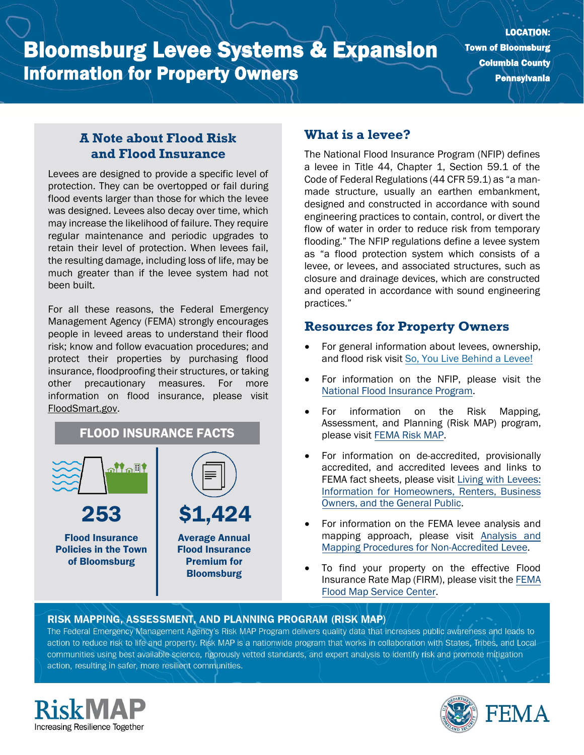LOCATION: Town of Bloomsburg Columbia County Pennsylvania

## **A Note about Flood Risk and Flood Insurance**

Levees are designed to provide a specific level of protection. They can be overtopped or fail during flood events larger than those for which the levee was designed. Levees also decay over time, which may increase the likelihood of failure. They require regular maintenance and periodic upgrades to retain their level of protection. When levees fail, the resulting damage, including loss of life, may be much greater than if the levee system had not been built.

For all these reasons, the Federal Emergency Management Agency (FEMA) strongly encourages people in leveed areas to understand their flood risk; know and follow evacuation procedures; and protect their properties by purchasing flood insurance, floodproofing their structures, or taking other precautionary measures. For more information on flood insurance, please visit [FloodSmart.gov.](https://www.floodsmart.gov/)



## **What is a levee?**

The National Flood Insurance Program (NFIP) defines a levee in Title 44, Chapter 1, Section 59.1 of the Code of Federal Regulations (44 CFR 59.1) as "a manmade structure, usually an earthen embankment, designed and constructed in accordance with sound engineering practices to contain, control, or divert the flow of water in order to reduce risk from temporary flooding." The NFIP regulations define a levee system as "a flood protection system which consists of a levee, or levees, and associated structures, such as closure and drainage devices, which are constructed and operated in accordance with sound engineering practices."

## **Resources for Property Owners**

- For general information about levees, ownership, and flood risk visit [So, You Live Behind a Levee!](https://ascelibrary.org/doi/book/10.1061/9780784410837)
- For information on th[e](https://www.fema.gov/national-flood-insurance-program) NFIP, please visit the [National Flood Insurance Program.](https://www.fema.gov/national-flood-insurance-program)
- For information on the Risk Mapping, Assessment, and Planning (Risk MAP) program, please visit [FEMA Risk MAP.](https://www.fema.gov/flood-maps/tools-resources/risk-map)
- For information on de-accredited, provisionally accredited, and accredited levees and links to FEMA fact sheets, please visit [Living with Levees:](https://www.fema.gov/flood-maps/living-levees) [Information for Homeowners, Renters, Business](https://www.fema.gov/flood-maps/living-levees) [Owners, and the General Public.](https://www.fema.gov/flood-maps/living-levees)
- For information on the FEMA levee analysis and mapping approach, please visit [Analysis and](https://www.fema.gov/media-library-data/20130726-1922-25045-4455/20130703_approachdocument_508.pdf) [Mapping Procedures for Non-Accredited Levee.](https://www.fema.gov/media-library-data/20130726-1922-25045-4455/20130703_approachdocument_508.pdf)
- To find your property on the effective Flood Insurance Rate Map (FIRM), please visit th[e FEMA](https://msc.fema.gov/portal/) [Flood Map Service Center.](https://msc.fema.gov/portal/)

#### RISK MAPPING, ASSESSMENT, AND PLANNING PROGRAM (RISK MAP)

The Federal Emergency Management Agency's Risk MAP Program delivers quality data that increases public awareness and leads to action to reduce risk to life and property. Risk MAP is a nationwide program that works in collaboration with States, Tribes, and Localcommunities using best available science, rigorously vetted standards, and expert analysis to identify risk and promote mitigation action, resulting in safer, more resilient communities.